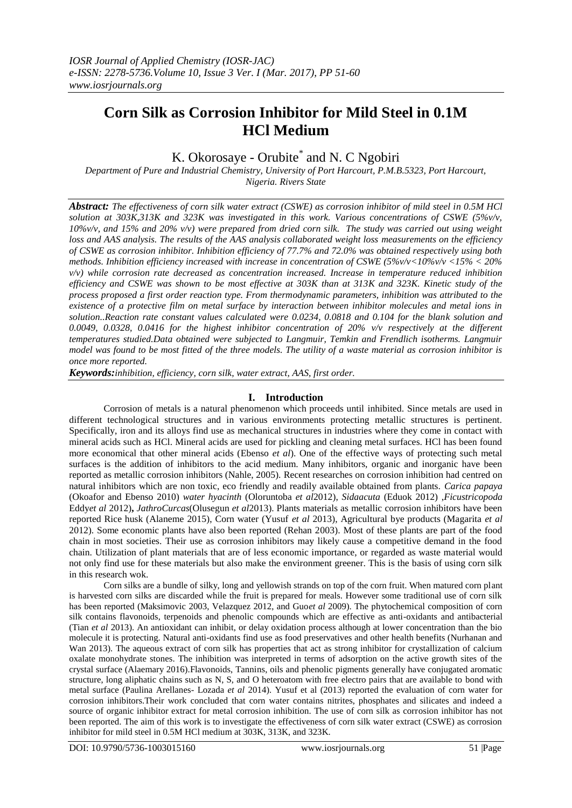# **Corn Silk as Corrosion Inhibitor for Mild Steel in 0.1M HCl Medium**

K. Okorosaye - Orubite<sup>\*</sup> and N. C Ngobiri

*Department of Pure and Industrial Chemistry, University of Port Harcourt, P.M.B.5323, Port Harcourt, Nigeria. Rivers State*

*Abstract: The effectiveness of corn silk water extract (CSWE) as corrosion inhibitor of mild steel in 0.5M HCl solution at 303K,313K and 323K was investigated in this work. Various concentrations of CSWE (5%v/v, 10%v/v, and 15% and 20% v/v) were prepared from dried corn silk. The study was carried out using weight loss and AAS analysis. The results of the AAS analysis collaborated weight loss measurements on the efficiency of CSWE as corrosion inhibitor. Inhibition efficiency of 77.7% and 72.0% was obtained respectively using both methods. Inhibition efficiency increased with increase in concentration of CSWE (5%v/v<10%v/v <15% < 20% v/v) while corrosion rate decreased as concentration increased. Increase in temperature reduced inhibition efficiency and CSWE was shown to be most effective at 303K than at 313K and 323K. Kinetic study of the process proposed a first order reaction type. From thermodynamic parameters, inhibition was attributed to the existence of a protective film on metal surface by interaction between inhibitor molecules and metal ions in solution..Reaction rate constant values calculated were 0.0234, 0.0818 and 0.104 for the blank solution and 0.0049, 0.0328, 0.0416 for the highest inhibitor concentration of 20% v/v respectively at the different temperatures studied.Data obtained were subjected to Langmuir, Temkin and Frendlich isotherms. Langmuir model was found to be most fitted of the three models. The utility of a waste material as corrosion inhibitor is once more reported.* 

*Keywords:inhibition, efficiency, corn silk, water extract, AAS, first order.*

# **I. Introduction**

Corrosion of metals is a natural phenomenon which proceeds until inhibited. Since metals are used in different technological structures and in various environments protecting metallic structures is pertinent. Specifically, iron and its alloys find use as mechanical structures in industries where they come in contact with mineral acids such as HCl. Mineral acids are used for pickling and cleaning metal surfaces. HCl has been found more economical that other mineral acids (Ebenso *et al*). One of the effective ways of protecting such metal surfaces is the addition of inhibitors to the acid medium. Many inhibitors, organic and inorganic have been reported as metallic corrosion inhibitors (Nahle, 2005). Recent researches on corrosion inhibition had centred on natural inhibitors which are non toxic, eco friendly and readily available obtained from plants. *Carica papaya* (Okoafor and Ebenso 2010) *water hyacinth* (Oloruntoba *et al*2012), *Sidaacuta* (Eduok 2012) ,*Ficustricopoda* Eddy*et al* 2012)**,** *JathroCurcas*(Olusegun *et al*2013). Plants materials as metallic corrosion inhibitors have been reported Rice husk (Alaneme 2015), Corn water (Yusuf *et al* 2013), Agricultural bye products (Magarita *et al* 2012). Some economic plants have also been reported (Rehan 2003). Most of these plants are part of the food chain in most societies. Their use as corrosion inhibitors may likely cause a competitive demand in the food chain. Utilization of plant materials that are of less economic importance, or regarded as waste material would not only find use for these materials but also make the environment greener. This is the basis of using corn silk in this research wok.

Corn silks are a bundle of silky, long and yellowish strands on top of the corn fruit. When matured corn plant is harvested corn silks are discarded while the fruit is prepared for meals. However some traditional use of corn silk has been reported (Maksimovic 2003, Velazquez 2012, and Guo*et al* 2009). The phytochemical composition of corn silk contains flavonoids, terpenoids and phenolic compounds which are effective as anti-oxidants and antibacterial (Tian *et al* 2013). An antioxidant can inhibit, or delay oxidation process although at lower concentration than the bio molecule it is protecting. Natural anti-oxidants find use as food preservatives and other health benefits (Nurhanan and Wan 2013). The aqueous extract of corn silk has properties that act as strong inhibitor for crystallization of calcium oxalate monohydrate stones. The inhibition was interpreted in terms of adsorption on the active growth sites of the crystal surface (Alaemary 2016).Flavonoids, Tannins, oils and phenolic pigments generally have conjugated aromatic structure, long aliphatic chains such as N, S, and O heteroatom with free electro pairs that are available to bond with metal surface (Paulina Arellanes- Lozada *et al* 2014). Yusuf et al (2013) reported the evaluation of corn water for corrosion inhibitors.Their work concluded that corn water contains nitrites, phosphates and silicates and indeed a source of organic inhibitor extract for metal corrosion inhibition. The use of corn silk as corrosion inhibitor has not been reported. The aim of this work is to investigate the effectiveness of corn silk water extract (CSWE) as corrosion inhibitor for mild steel in 0.5M HCl medium at 303K, 313K, and 323K.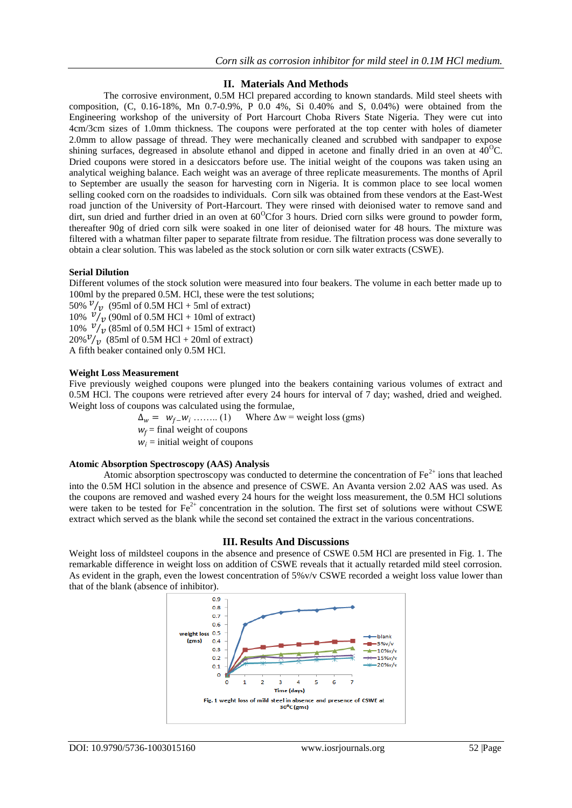# **II. Materials And Methods**

The corrosive environment, 0.5M HCl prepared according to known standards. Mild steel sheets with composition,  $(C, 0.16-18\%, Mn\ 0.7-0.9\%, P\ 0.0\ 4\%, Si\ 0.40\%$  and S,  $0.04\%)$  were obtained from the Engineering workshop of the university of Port Harcourt Choba Rivers State Nigeria. They were cut into 4cm/3cm sizes of 1.0mm thickness. The coupons were perforated at the top center with holes of diameter 2.0mm to allow passage of thread. They were mechanically cleaned and scrubbed with sandpaper to expose shining surfaces, degreased in absolute ethanol and dipped in acetone and finally dried in an oven at  $40^{\circ}$ C. Dried coupons were stored in a desiccators before use. The initial weight of the coupons was taken using an analytical weighing balance. Each weight was an average of three replicate measurements. The months of April to September are usually the season for harvesting corn in Nigeria. It is common place to see local women selling cooked corn on the roadsides to individuals. Corn silk was obtained from these vendors at the East-West road junction of the University of Port-Harcourt. They were rinsed with deionised water to remove sand and dirt, sun dried and further dried in an oven at  $60^{\circ}$ Cfor 3 hours. Dried corn silks were ground to powder form, thereafter 90g of dried corn silk were soaked in one liter of deionised water for 48 hours. The mixture was filtered with a whatman filter paper to separate filtrate from residue. The filtration process was done severally to obtain a clear solution. This was labeled as the stock solution or corn silk water extracts (CSWE).

## **Serial Dilution**

Different volumes of the stock solution were measured into four beakers. The volume in each better made up to 100ml by the prepared 0.5M. HCl, these were the test solutions;

50%  $\frac{v}{v}$  (95ml of 0.5M HCl + 5ml of extract) 10%  $v /_{v}$  (90ml of 0.5M HCl + 10ml of extract) 10%  $v/v$  (85ml of 0.5M HCl + 15ml of extract)  $20\% \frac{v}{v}$  (85ml of 0.5M HCl + 20ml of extract) A fifth beaker contained only 0.5M HCl.

#### **Weight Loss Measurement**

Five previously weighed coupons were plunged into the beakers containing various volumes of extract and 0.5M HCl. The coupons were retrieved after every 24 hours for interval of 7 day; washed, dried and weighed. Weight loss of coupons was calculated using the formulae,

 $\Delta_w = w_f w_i$  ……... (1) Where  $\Delta w$  = weight loss (gms)

 $w_f$  = final weight of coupons

 $w_i$  = initial weight of coupons

#### **Atomic Absorption Spectroscopy (AAS) Analysis**

Atomic absorption spectroscopy was conducted to determine the concentration of  $Fe<sup>2+</sup>$  ions that leached into the 0.5M HCl solution in the absence and presence of CSWE. An Avanta version 2.02 AAS was used. As the coupons are removed and washed every 24 hours for the weight loss measurement, the 0.5M HCl solutions were taken to be tested for  $Fe^{2+}$  concentration in the solution. The first set of solutions were without CSWE extract which served as the blank while the second set contained the extract in the various concentrations.

#### **III. Results And Discussions**

Weight loss of mildsteel coupons in the absence and presence of CSWE 0.5M HCl are presented in Fig. 1. The remarkable difference in weight loss on addition of CSWE reveals that it actually retarded mild steel corrosion. As evident in the graph, even the lowest concentration of 5%v/v CSWE recorded a weight loss value lower than that of the blank (absence of inhibitor).

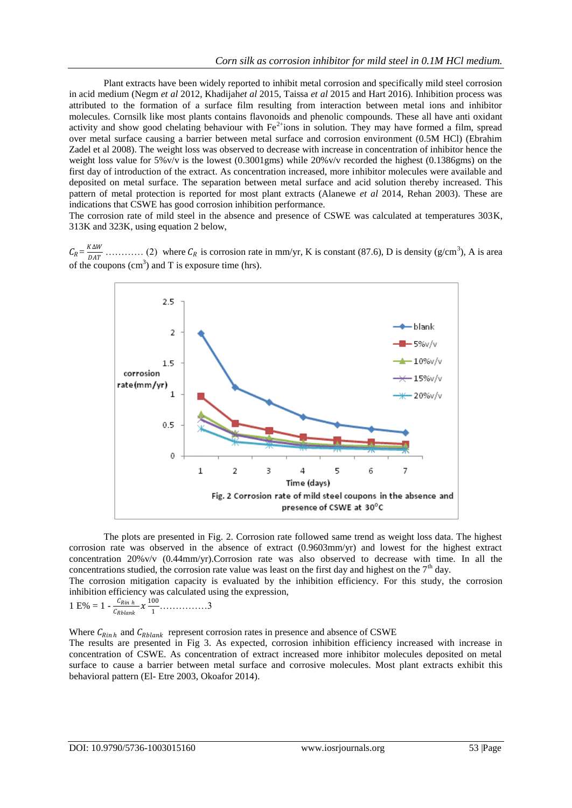Plant extracts have been widely reported to inhibit metal corrosion and specifically mild steel corrosion in acid medium (Negm *et al* 2012, Khadijah*et al* 2015, Taissa *et al* 2015 and Hart 2016). Inhibition process was attributed to the formation of a surface film resulting from interaction between metal ions and inhibitor molecules. Cornsilk like most plants contains flavonoids and phenolic compounds. These all have anti oxidant activity and show good chelating behaviour with  $Fe^{2+}$ ions in solution. They may have formed a film, spread over metal surface causing a barrier between metal surface and corrosion environment (0.5M HCl) (Ebrahim Zadel et al 2008). The weight loss was observed to decrease with increase in concentration of inhibitor hence the weight loss value for 5%v/v is the lowest (0.3001gms) while 20%v/v recorded the highest (0.1386gms) on the first day of introduction of the extract. As concentration increased, more inhibitor molecules were available and deposited on metal surface. The separation between metal surface and acid solution thereby increased. This pattern of metal protection is reported for most plant extracts (Alanewe *et al* 2014, Rehan 2003). These are indications that CSWE has good corrosion inhibition performance.

The corrosion rate of mild steel in the absence and presence of CSWE was calculated at temperatures 303K, 313K and 323K, using equation 2 below,

 $C_R = \frac{K\Delta W}{\Delta T}$  ………… (2) where is corrosion rate in mm/yr, K is constant (87.6), D is density (g/cm<sup>3</sup> ), A is area of the coupons  $(cm<sup>3</sup>)$  and T is exposure time (hrs).



The plots are presented in Fig. 2. Corrosion rate followed same trend as weight loss data. The highest corrosion rate was observed in the absence of extract (0.9603mm/yr) and lowest for the highest extract concentration 20%v/v (0.44mm/yr).Corrosion rate was also observed to decrease with time. In all the concentrations studied, the corrosion rate value was least on the first day and highest on the  $7<sup>th</sup>$  day.

The corrosion mitigation capacity is evaluated by the inhibition efficiency. For this study, the corrosion inhibition efficiency was calculated using the expression,

$$
1 \text{ E}\% = 1 - \frac{C_{Rinh}}{C_{Rblank}} x \frac{100}{1} \dots \dots \dots \dots \dots 3
$$

Where  $C_{Rinh}$  and  $C_{Rblank}$  represent corrosion rates in presence and absence of CSWE

The results are presented in Fig 3. As expected, corrosion inhibition efficiency increased with increase in concentration of CSWE. As concentration of extract increased more inhibitor molecules deposited on metal surface to cause a barrier between metal surface and corrosive molecules. Most plant extracts exhibit this behavioral pattern (El- Etre 2003, Okoafor 2014).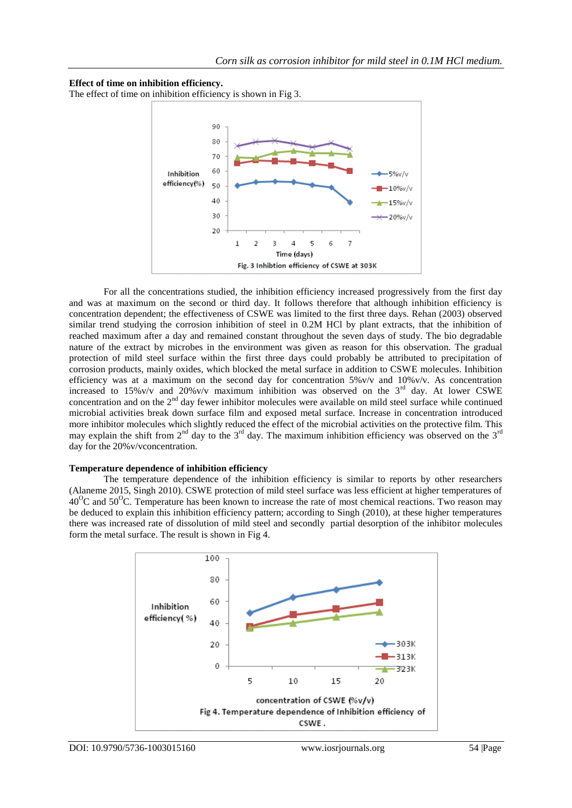#### **Effect of time on inhibition efficiency.**

The effect of time on inhibition efficiency is shown in Fig 3.



For all the concentrations studied, the inhibition efficiency increased progressively from the first day and was at maximum on the second or third day. It follows therefore that although inhibition efficiency is concentration dependent; the effectiveness of CSWE was limited to the first three days. Rehan (2003) observed similar trend studying the corrosion inhibition of steel in 0.2M HCl by plant extracts, that the inhibition of reached maximum after a day and remained constant throughout the seven days of study. The bio degradable nature of the extract by microbes in the environment was given as reason for this observation. The gradual protection of mild steel surface within the first three days could probably be attributed to precipitation of corrosion products, mainly oxides, which blocked the metal surface in addition to CSWE molecules. Inhibition efficiency was at a maximum on the second day for concentration  $5\%$  v/v and  $10\%$  v/v. As concentration increased to 15%v/v and 20%v/v maximum inhibition was observed on the  $3<sup>rd</sup>$  day. At lower CSWE concentration and on the  $2<sup>nd</sup>$  day fewer inhibitor molecules were available on mild steel surface while continued microbial activities break down surface film and exposed metal surface. Increase in concentration introduced more inhibitor molecules which slightly reduced the effect of the microbial activities on the protective film. This may explain the shift from  $2<sup>nd</sup>$  day to the  $3<sup>rd</sup>$  day. The maximum inhibition efficiency was observed on the  $3<sup>rd</sup>$ day for the 20%v/vconcentration.

#### **Temperature dependence of inhibition efficiency**

The temperature dependence of the inhibition efficiency is similar to reports by other researchers (Alaneme 2015, Singh 2010). CSWE protection of mild steel surface was less efficient at higher temperatures of  $40^{\circ}$ C and  $50^{\circ}$ C. Temperature has been known to increase the rate of most chemical reactions. Two reason may be deduced to explain this inhibition efficiency pattern; according to Singh (2010), at these higher temperatures there was increased rate of dissolution of mild steel and secondly partial desorption of the inhibitor molecules form the metal surface. The result is shown in Fig 4.

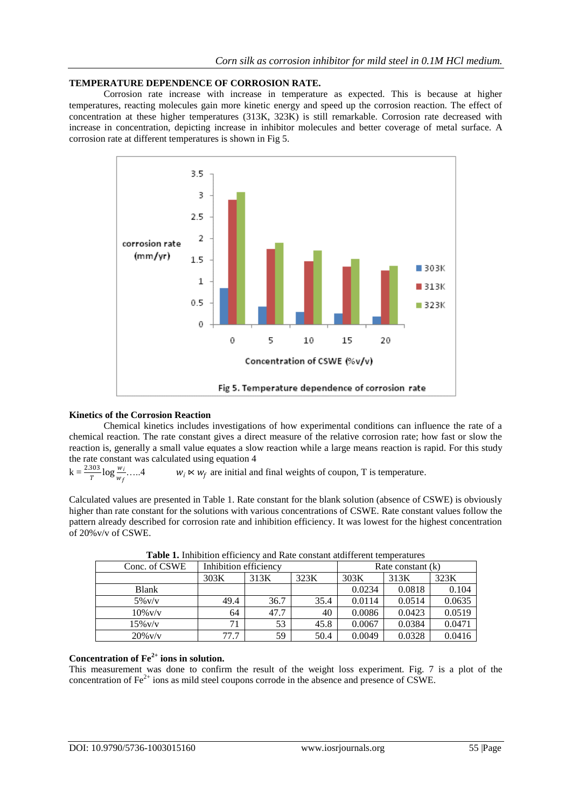# **TEMPERATURE DEPENDENCE OF CORROSION RATE.**

Corrosion rate increase with increase in temperature as expected. This is because at higher temperatures, reacting molecules gain more kinetic energy and speed up the corrosion reaction. The effect of concentration at these higher temperatures (313K, 323K) is still remarkable. Corrosion rate decreased with increase in concentration, depicting increase in inhibitor molecules and better coverage of metal surface. A corrosion rate at different temperatures is shown in Fig 5.



#### **Kinetics of the Corrosion Reaction**

Chemical kinetics includes investigations of how experimental conditions can influence the rate of a chemical reaction. The rate constant gives a direct measure of the relative corrosion rate; how fast or slow the reaction is, generally a small value equates a slow reaction while a large means reaction is rapid. For this study the rate constant was calculated using equation 4

```
k = \frac{2.303}{T} \log \frac{w_i}{w_f}w_i \ltimes w_f are initial and final weights of coupon, T is temperature.
```
Calculated values are presented in Table 1. Rate constant for the blank solution (absence of CSWE) is obviously higher than rate constant for the solutions with various concentrations of CSWE. Rate constant values follow the pattern already described for corrosion rate and inhibition efficiency. It was lowest for the highest concentration of 20%v/v of CSWE.

| Conc. of CSWE | Inhibition efficiency |      |      | Rate constant (k) |        |        |  |  |  |
|---------------|-----------------------|------|------|-------------------|--------|--------|--|--|--|
|               | 303K                  | 313K | 323K | 303K              | 313K   | 323K   |  |  |  |
| <b>Blank</b>  |                       |      |      | 0.0234            | 0.0818 | 0.104  |  |  |  |
| $5\%$ v/v     | 49.4                  | 36.7 | 35.4 | 0.0114            | 0.0514 | 0.0635 |  |  |  |
| $10\%$ v/v    | 64                    | 47.7 | 40   | 0.0086            | 0.0423 | 0.0519 |  |  |  |
| $15\%$ v/v    |                       | 53   | 45.8 | 0.0067            | 0.0384 | 0.0471 |  |  |  |
| $20\%$ v/v    | 77.7                  | 59   | 50.4 | 0.0049            | 0.0328 | 0.0416 |  |  |  |

**Table 1.** Inhibition efficiency and Rate constant atdifferent temperatures

# **Concentration of Fe2+ ions in solution.**

This measurement was done to confirm the result of the weight loss experiment. Fig. 7 is a plot of the concentration of  $Fe<sup>2+</sup>$  ions as mild steel coupons corrode in the absence and presence of CSWE.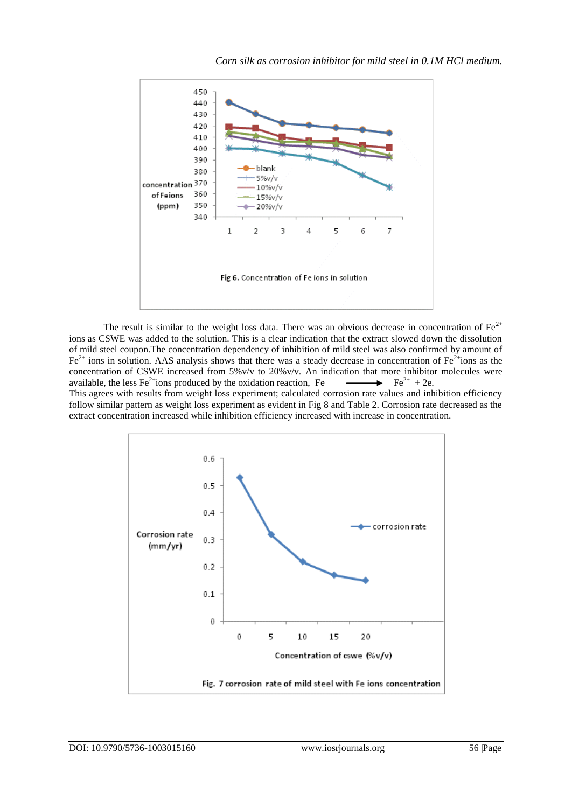

The result is similar to the weight loss data. There was an obvious decrease in concentration of  $Fe^{2+}$ ions as CSWE was added to the solution. This is a clear indication that the extract slowed down the dissolution of mild steel coupon.The concentration dependency of inhibition of mild steel was also confirmed by amount of  $Fe<sup>2+</sup>$  ions in solution. AAS analysis shows that there was a steady decrease in concentration of Fe<sup>2+</sup>ions as the concentration of CSWE increased from 5%v/v to 20%v/v. An indication that more inhibitor molecules were available, the less  $Fe<sup>2+</sup>$ ions produced by the oxidation reaction, Fe  $\rightarrow$  Fe<sup>2+</sup> + 2e. This agrees with results from weight loss experiment; calculated corrosion rate values and inhibition efficiency follow similar pattern as weight loss experiment as evident in Fig 8 and Table 2. Corrosion rate decreased as the extract concentration increased while inhibition efficiency increased with increase in concentration.

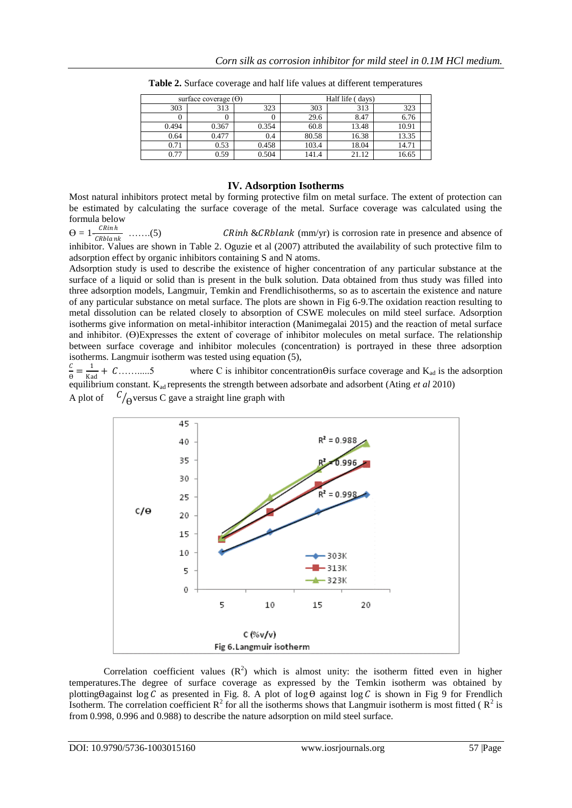| surface coverage $(\Theta)$ |       |       | Half life (days) |       |       |  |
|-----------------------------|-------|-------|------------------|-------|-------|--|
| 303                         | 313   | 323   | 303              | 313   | 323   |  |
|                             |       |       | 29.6             | 8.47  | 6.76  |  |
| 0.494                       | 0.367 | 0.354 | 60.8             | 13.48 | 10.91 |  |
| 0.64                        | 0.477 | 0.4   | 80.58            | 16.38 | 13.35 |  |
| 0.71                        | 0.53  | 0.458 | 103.4            | 18.04 | 14.71 |  |
| 0.77                        | 0.59  | 0.504 | 141.4            | 21.12 | 16.65 |  |

**Table 2.** Surface coverage and half life values at different temperatures

# **IV. Adsorption Isotherms**

Most natural inhibitors protect metal by forming protective film on metal surface. The extent of protection can be estimated by calculating the surface coverage of the metal. Surface coverage was calculated using the formula below

 $\Theta = 1 - \frac{C R \ln h}{C R L}$ CRbla nk .......(5) CRinh & CRblank (mm/yr) is corrosion rate in presence and absence of inhibitor. Values are shown in Table 2. Oguzie et al (2007) attributed the availability of such protective film to

adsorption effect by organic inhibitors containing S and N atoms. Adsorption study is used to describe the existence of higher concentration of any particular substance at the surface of a liquid or solid than is present in the bulk solution. Data obtained from thus study was filled into three adsorption models, Langmuir, Temkin and Frendlichisotherms, so as to ascertain the existence and nature of any particular substance on metal surface. The plots are shown in Fig 6-9.The oxidation reaction resulting to metal dissolution can be related closely to absorption of CSWE molecules on mild steel surface. Adsorption isotherms give information on metal-inhibitor interaction (Manimegalai 2015) and the reaction of metal surface and inhibitor.  $(\Theta)$ Expresses the extent of coverage of inhibitor molecules on metal surface. The relationship between surface coverage and inhibitor molecules (concentration) is portrayed in these three adsorption isotherms. Langmuir isotherm was tested using equation (5),

 $\mathcal{C}_{0}^{(n)}$  $\frac{c}{\theta} = \frac{1}{\text{Ka}}$ Kad where C is inhibitor concentration $\Theta$ is surface coverage and  $K_{ad}$  is the adsorption equilibrium constant. Kad represents the strength between adsorbate and adsorbent (Ating *et al* 2010) A plot of  $C_{\bigoplus}$  versus C gave a straight line graph with



Correlation coefficient values  $(R^2)$  which is almost unity: the isotherm fitted even in higher temperatures.The degree of surface coverage as expressed by the Temkin isotherm was obtained by plotting  $\theta$ against log  $C$  as presented in Fig. 8. A plot of log  $\theta$  against log  $C$  is shown in Fig 9 for Frendlich Isotherm. The correlation coefficient  $R^2$  for all the isotherms shows that Langmuir isotherm is most fitted ( $R^2$  is from 0.998, 0.996 and 0.988) to describe the nature adsorption on mild steel surface.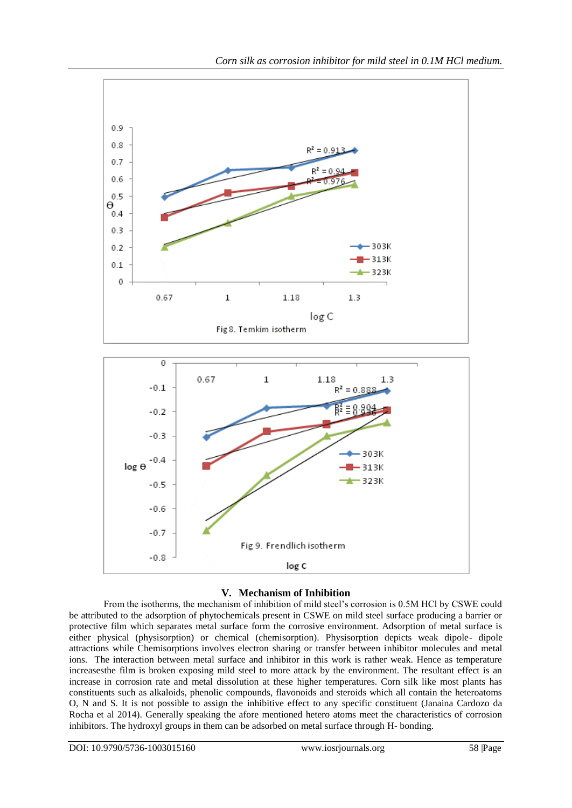

# **V. Mechanism of Inhibition**

From the isotherms, the mechanism of inhibition of mild steel's corrosion is 0.5M HCl by CSWE could be attributed to the adsorption of phytochemicals present in CSWE on mild steel surface producing a barrier or protective film which separates metal surface form the corrosive environment. Adsorption of metal surface is either physical (physisorption) or chemical (chemisorption). Physisorption depicts weak dipole- dipole attractions while Chemisorptions involves electron sharing or transfer between inhibitor molecules and metal ions. The interaction between metal surface and inhibitor in this work is rather weak. Hence as temperature increasesthe film is broken exposing mild steel to more attack by the environment. The resultant effect is an increase in corrosion rate and metal dissolution at these higher temperatures. Corn silk like most plants has constituents such as alkaloids, phenolic compounds, flavonoids and steroids which all contain the heteroatoms O, N and S. It is not possible to assign the inhibitive effect to any specific constituent (Janaina Cardozo da Rocha et al 2014). Generally speaking the afore mentioned hetero atoms meet the characteristics of corrosion inhibitors. The hydroxyl groups in them can be adsorbed on metal surface through H- bonding.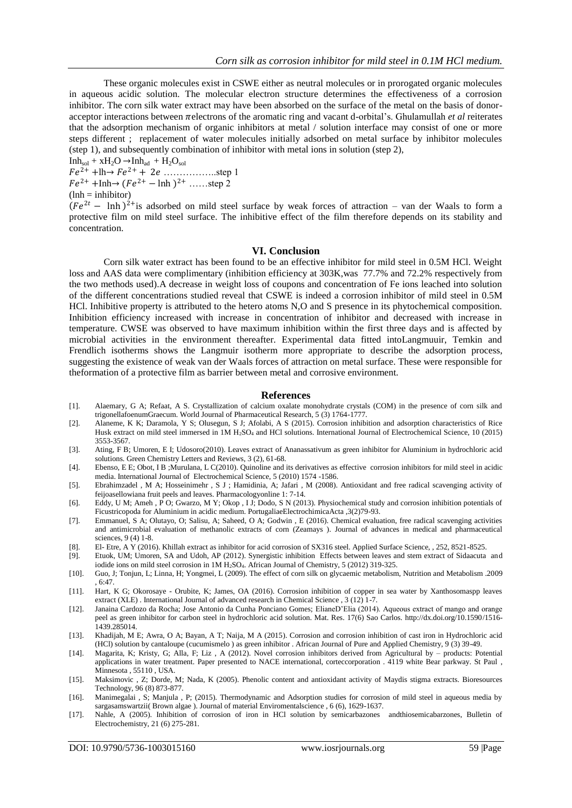These organic molecules exist in CSWE either as neutral molecules or in prorogated organic molecules in aqueous acidic solution. The molecular electron structure determines the effectiveness of a corrosion inhibitor. The corn silk water extract may have been absorbed on the surface of the metal on the basis of donoracceptor interactions between  $\pi$ electrons of the aromatic ring and vacant d-orbital's. Ghulamullah *et al* reiterates that the adsorption mechanism of organic inhibitors at metal / solution interface may consist of one or more steps different ; replacement of water molecules initially adsorbed on metal surface by inhibitor molecules (step 1), and subsequently combination of inhibitor with metal ions in solution (step 2),

 $Inh<sub>sol</sub> + xH<sub>2</sub>O \rightarrow Inh<sub>ad</sub> + H<sub>2</sub>O<sub>sol</sub>$  $Fe^{2+}$  +lh $\rightarrow Fe^{2+}$  + 2*e* … ... ... ... ... step 1  $Fe^{2+} + Inh \rightarrow (Fe^{2+} - Inh 2^{+} ..... step 2)$  $(lnh = inhibitor)$ 

 $(Fe^{2t} - \ln h)^{2}$  is adsorbed on mild steel surface by weak forces of attraction – van der Waals to form a protective film on mild steel surface. The inhibitive effect of the film therefore depends on its stability and concentration.

#### **VI. Conclusion**

Corn silk water extract has been found to be an effective inhibitor for mild steel in 0.5M HCl. Weight loss and AAS data were complimentary (inhibition efficiency at 303K,was 77.7% and 72.2% respectively from the two methods used).A decrease in weight loss of coupons and concentration of Fe ions leached into solution of the different concentrations studied reveal that CSWE is indeed a corrosion inhibitor of mild steel in 0.5M HCl. Inhibitive property is attributed to the hetero atoms N,O and S presence in its phytochemical composition. Inhibition efficiency increased with increase in concentration of inhibitor and decreased with increase in temperature. CWSE was observed to have maximum inhibition within the first three days and is affected by microbial activities in the environment thereafter. Experimental data fitted intoLangmuuir, Temkin and Frendlich isotherms shows the Langmuir isotherm more appropriate to describe the adsorption process, suggesting the existence of weak van der Waals forces of attraction on metal surface. These were responsible for theformation of a protective film as barrier between metal and corrosive environment.

#### **References**

- [1]. Alaemary, G A; Refaat, A S. Crystallization of calcium oxalate monohydrate crystals (COM) in the presence of corn silk and trigonellafoenumGraecum. World Journal of Pharmaceutical Research, 5 (3) 1764-1777.
- [2]. Alaneme, K K; Daramola, Y S; Olusegun, S J; Afolabi, A S (2015). Corrosion inhibition and adsorption characteristics of Rice Husk extract on mild steel immersed in 1M H<sub>2</sub>SO<sub>4</sub> and HCl solutions. International Journal of Electrochemical Science, 10 (2015) 3553-3567.
- [3]. Ating, F B; Umoren, E I; Udosoro(2010). Leaves extract of Ananassativum as green inhibitor for Aluminium in hydrochloric acid solutions. Green Chemistry Letters and Reviews, 3 (2), 61-68.
- [4]. Ebenso, E E; Obot, I B ;Murulana, L C(2010). Quinoline and its derivatives as effective corrosion inhibitors for mild steel in acidic media. International Journal of Electrochemical Science, 5 (2010) 1574 -1586.
- [5]. Ebrahimzadel , M A; Hosseinimehr , S J ; Hamidinia, A; Jafari , M (2008). Antioxidant and free radical scavenging activity of feijoasellowiana fruit peels and leaves. Pharmacologyonline 1: 7-14.
- [6]. Eddy, U M; Ameh , P O; Gwarzo, M Y; Okop , I J; Dodo, S N (2013). Physiochemical study and corrosion inhibition potentials of Ficustricopoda for Aluminium in acidic medium. PortugaliaeElectrochimicaActa ,3(2)79-93.
- [7]. Emmanuel, S A; Olutayo, O; Salisu, A; Saheed, O A; Godwin , E (2016). Chemical evaluation, free radical scavenging activities and antimicrobial evaluation of methanolic extracts of corn (Zeamays ). Journal of advances in medical and pharmaceutical sciences, 9 (4) 1-8.
- [8]. El- Etre, A Y (2016). Khillah extract as inhibitor for acid corrosion of SX316 steel. Applied Surface Science, , 252, 8521-8525.
- [9]. Etuok, UM; Umoren, SA and Udoh, AP (2012). Synergistic inhibition Effects between leaves and stem extract of Sidaacuta and iodide ions on mild steel corrosion in 1M H<sub>2</sub>SO<sub>4</sub>. African Journal of Chemistry, 5 (2012) 319-325.
- [10]. Guo, J; Tonjun, L; Linna, H; Yongmei, L (2009). The effect of corn silk on glycaemic metabolism, Nutrition and Metabolism .2009 , 6:47.
- [11]. Hart, K G; Okorosaye Orubite, K; James, OA (2016). Corrosion inhibition of copper in sea water by Xanthosomaspp leaves extract (XLE) . International Journal of advanced research in Chemical Science , 3 (12) 1-7.
- [12]. Janaina Cardozo da Rocha; Jose Antonio da Cunha Ponciano Gomes; ElianeD'Elia (2014). Aqueous extract of mango and orange peel as green inhibitor for carbon steel in hydrochloric acid solution. Mat. Res. 17(6) Sao Carlos. http://dx.doi.org/10.1590/1516- 1439.285014.
- [13]. Khadijah, M E; Awra, O A; Bayan, A T; Naija, M A (2015). Corrosion and corrosion inhibition of cast iron in Hydrochloric acid (HCl) solution by cantaloupe (cucumismelo ) as green inhibitor . African Journal of Pure and Applied Chemistry, 9 (3) 39-49.
- [14]. Magarita, K; Kristy, G; Alla, F; Liz , A (2012). Novel corrosion inhibitors derived from Agricultural by products: Potential applications in water treatment. Paper presented to NACE international, corteccorporation . 4119 white Bear parkway. St Paul , Minnesota , 55110 , USA.
- [15]. Maksimovic , Z; Dorde, M; Nada, K (2005). Phenolic content and antioxidant activity of Maydis stigma extracts. Bioresources Technology, 96 (8) 873-877.
- [16]. Manimegalai , S; Manjula , P; (2015). Thermodynamic and Adsorption studies for corrosion of mild steel in aqueous media by sargasamswartzii( Brown algae ). Journal of material Enviromentalscience , 6 (6), 1629-1637.
- [17]. Nahle, A (2005). Inhibition of corrosion of iron in HCl solution by semicarbazones andthiosemicabarzones, Bulletin of Electrochemistry, 21 (6) 275-281.